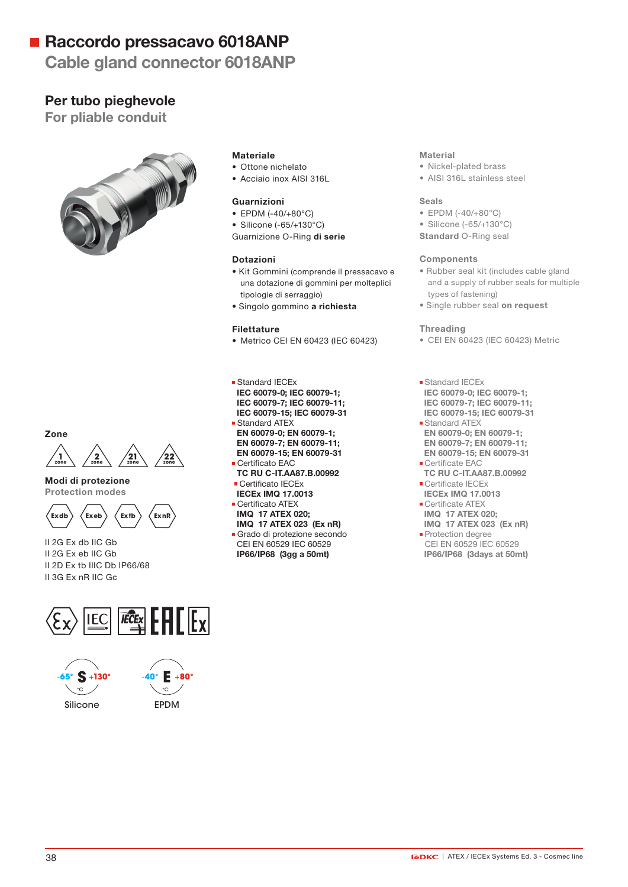# ■ Raccordo pressacavo 6018ANP

## Cable gland connector 6018ANP

### Per tubo pieghevole

For pliable conduit



#### Materiale

• Ottone nichelato • Acciaio inox AISI 316L

#### Guarnizioni

- EPDM (-40/+80°C)
- Silicone (-65/+130°C)

Guarnizione O-Ring di serie

#### Dotazioni

- Kit Gommini (comprende il pressacavo e una dotazione di gommini per molteplici tipologie di serraggio)
- Singolo gommino a richiesta

#### Filettature

• Metrico CEI EN 60423 (IEC 60423)

■ Standard IECEx IEC 60079-0; IEC 60079-1; IEC 60079-7; IEC 60079-11; IEC 60079-15; IEC 60079-31 Standard ATEX EN 60079-0; EN 60079-1; EN 60079-7; EN 60079-11; EN 60079-15; EN 60079-31

- **Certificato EAC**
- TC RU C-IT.AA87.B.00992 Certificato IECEx
- IECEx IMQ 17.0013
- Certificato ATEX IMQ 17 ATEX 020;

### IMQ 17 ATEX 023 (Ex nR)

Grado di protezione secondo CEI EN 60529 IEC 60529 IP66/IP68 (3gg a 50mt)

#### **Material**

- Nickel-plated brass
- AISI 316L stainless steel

#### Seals

- EPDM (-40/+80°C)
- Silicone (-65/+130°C)
- Standard O-Ring seal

#### **Components**

- Rubber seal kit (includes cable gland and a supply of rubber seals for multiple types of fastening)
- Single rubber seal on request

#### **Threading**

- CEI EN 60423 (IEC 60423) Metric
- Standard IECEx IEC 60079-0; IEC 60079-1; IEC 60079-7; IEC 60079-11; IEC 60079-15; IEC 60079-31
- **Standard ATEX**  EN 60079-0; EN 60079-1; EN 60079-7; EN 60079-11; EN 60079-15; EN 60079-31
- **Certificate EAC** TC RU C-IT.AA87.B.00992
- Certificate IECEx IECEx IMQ 17.0013 Certificate ATFX
- IMQ 17 ATEX 020; IMQ 17 ATEX 023 (Ex nR)
- **Protection degree**  CEI EN 60529 IEC 60529 IP66/IP68 (3days at 50mt)





Modi di protezione Protection modes



II 2G Ex db IIC Gb II 2G Ex eb IIC Gb II 2D Ex tb IIIC Db IP66/68 II 3G Ex nR IIC Gc





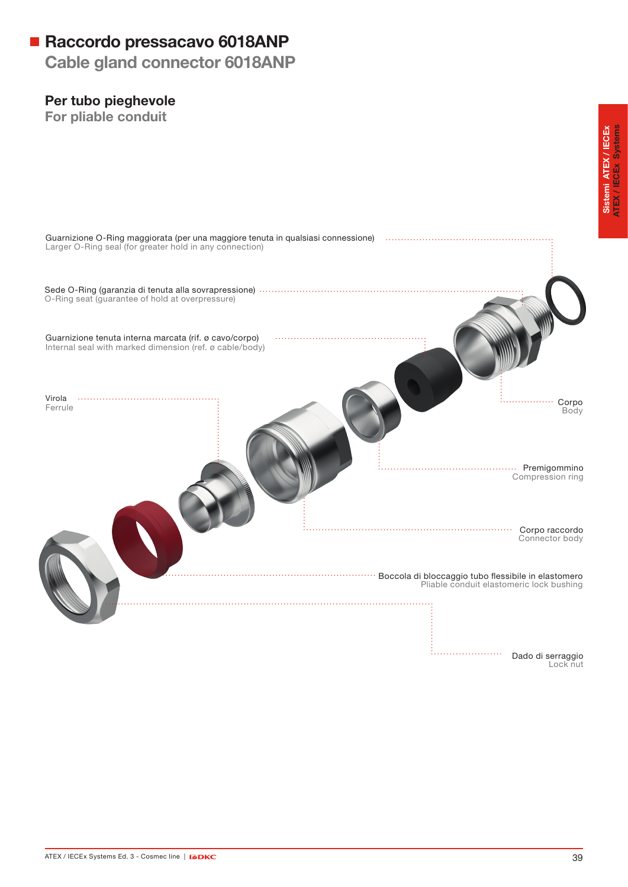# Raccordo pressacavo 6018ANP

Cable gland connector 6018ANP

## Per tubo pieghevole

For pliable conduit

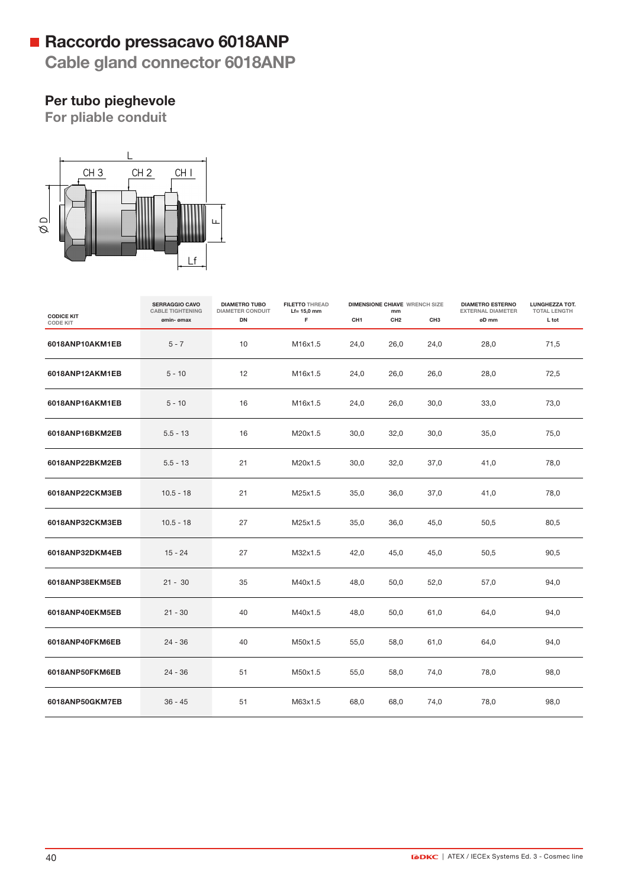# Raccordo pressacavo 6018ANP

Cable gland connector 6018ANP

## Per tubo pieghevole

For pliable conduit



|                                      | <b>SERRAGGIO CAVO</b><br><b>CABLE TIGHTENING</b> | <b>DIAMETRO TUBO</b><br><b>DIAMETER CONDUIT</b> | <b>FILETTO THREAD</b><br>$Lf=15,0$ mm | <b>DIMENSIONE CHIAVE WRENCH SIZE</b><br>mm |                 |                 | <b>DIAMETRO ESTERNO</b><br><b>EXTERNAL DIAMETER</b> | LUNGHEZZA TOT.<br><b>TOTAL LENGTH</b> |
|--------------------------------------|--------------------------------------------------|-------------------------------------------------|---------------------------------------|--------------------------------------------|-----------------|-----------------|-----------------------------------------------------|---------------------------------------|
| <b>CODICE KIT</b><br><b>CODE KIT</b> | ømin- ømax                                       | DN                                              | F                                     | CH <sub>1</sub>                            | CH <sub>2</sub> | CH <sub>3</sub> | øD mm                                               | L tot                                 |
| 6018ANP10AKM1EB                      | $5 - 7$                                          | 10                                              | M16x1.5                               | 24,0                                       | 26,0            | 24,0            | 28,0                                                | 71,5                                  |
| 6018ANP12AKM1EB                      | $5 - 10$                                         | 12                                              | M16x1.5                               | 24,0                                       | 26,0            | 26,0            | 28,0                                                | 72,5                                  |
| 6018ANP16AKM1EB                      | $5 - 10$                                         | 16                                              | M16x1.5                               | 24,0                                       | 26,0            | 30,0            | 33,0                                                | 73,0                                  |
| 6018ANP16BKM2EB                      | $5.5 - 13$                                       | 16                                              | M20x1.5                               | 30,0                                       | 32,0            | 30,0            | 35,0                                                | 75,0                                  |
| 6018ANP22BKM2EB                      | $5.5 - 13$                                       | 21                                              | M20x1.5                               | 30,0                                       | 32,0            | 37,0            | 41,0                                                | 78,0                                  |
| 6018ANP22CKM3EB                      | $10.5 - 18$                                      | 21                                              | M25x1.5                               | 35,0                                       | 36,0            | 37,0            | 41,0                                                | 78,0                                  |
| 6018ANP32CKM3EB                      | $10.5 - 18$                                      | 27                                              | M25x1.5                               | 35,0                                       | 36,0            | 45,0            | 50,5                                                | 80,5                                  |
| 6018ANP32DKM4EB                      | $15 - 24$                                        | 27                                              | M32x1.5                               | 42,0                                       | 45,0            | 45,0            | 50,5                                                | 90,5                                  |
| 6018ANP38EKM5EB                      | $21 - 30$                                        | 35                                              | M40x1.5                               | 48,0                                       | 50,0            | 52,0            | 57,0                                                | 94,0                                  |
| 6018ANP40EKM5EB                      | $21 - 30$                                        | 40                                              | M40x1.5                               | 48,0                                       | 50,0            | 61,0            | 64,0                                                | 94,0                                  |
| 6018ANP40FKM6EB                      | $24 - 36$                                        | 40                                              | M50x1.5                               | 55,0                                       | 58,0            | 61,0            | 64,0                                                | 94,0                                  |
| 6018ANP50FKM6EB                      | $24 - 36$                                        | 51                                              | M50x1.5                               | 55,0                                       | 58,0            | 74,0            | 78,0                                                | 98,0                                  |
| 6018ANP50GKM7EB                      | $36 - 45$                                        | 51                                              | M63x1.5                               | 68,0                                       | 68,0            | 74,0            | 78,0                                                | 98,0                                  |